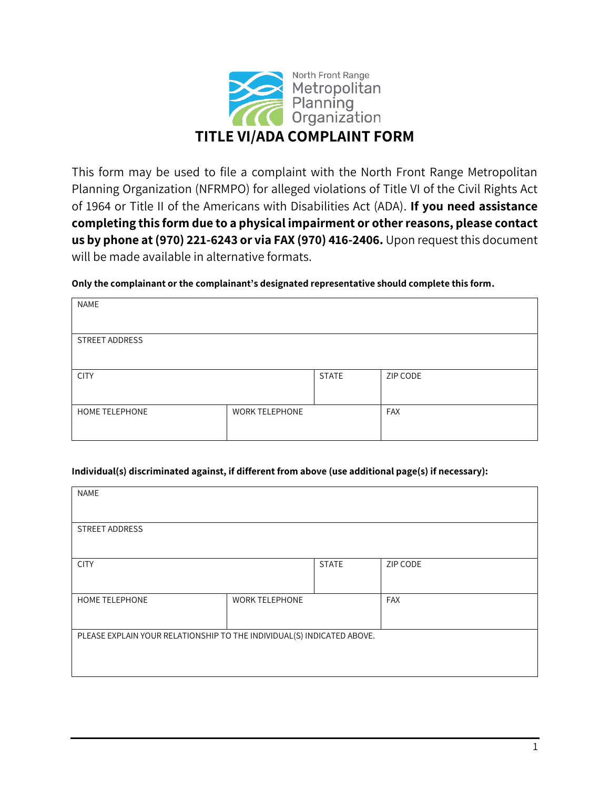

This form may be used to file a complaint with the North Front Range Metropolitan Planning Organization (NFRMPO) for alleged violations of Title VI of the Civil Rights Act of 1964 or Title II of the Americans with Disabilities Act (ADA). **If you need assistance completing this form due to a physical impairment or other reasons, please contact us by phone at (970) 221-6243 or via FAX (970) 416-2406.** Upon request this document will be made available in alternative formats.

#### **Only the complainant or the complainant's designated representative should complete this form.**

| NAME           |                       |              |          |
|----------------|-----------------------|--------------|----------|
|                |                       |              |          |
| STREET ADDRESS |                       |              |          |
|                |                       |              |          |
| <b>CITY</b>    |                       | <b>STATE</b> | ZIP CODE |
|                |                       |              |          |
| HOME TELEPHONE | <b>WORK TELEPHONE</b> |              | FAX      |
|                |                       |              |          |

### **Individual(s) discriminated against, if different from above (use additional page(s) if necessary):**

| <b>NAME</b>                                                            |                       |              |            |
|------------------------------------------------------------------------|-----------------------|--------------|------------|
| <b>STREET ADDRESS</b>                                                  |                       |              |            |
| <b>CITY</b>                                                            |                       | <b>STATE</b> | ZIP CODE   |
| <b>HOME TELEPHONE</b>                                                  | <b>WORK TELEPHONE</b> |              | <b>FAX</b> |
| PLEASE EXPLAIN YOUR RELATIONSHIP TO THE INDIVIDUAL(S) INDICATED ABOVE. |                       |              |            |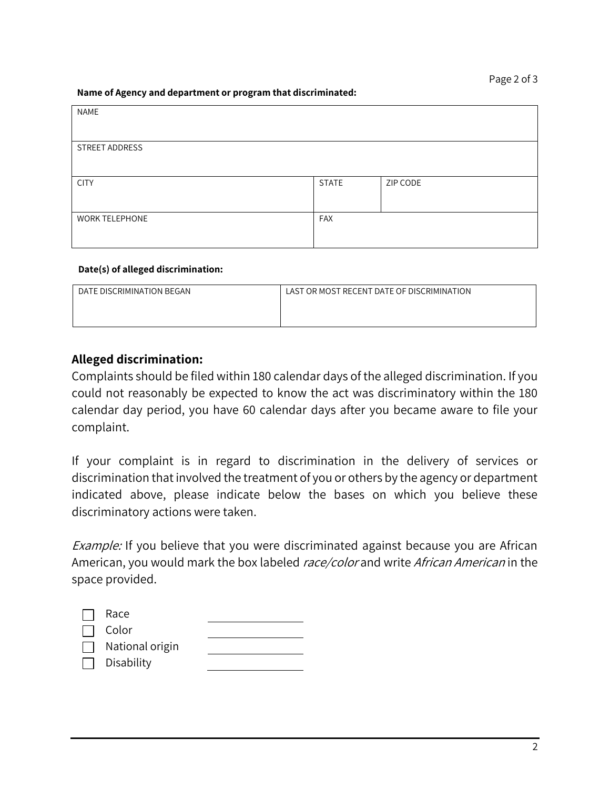#### **Name of Agency and department or program that discriminated:**

| NAME                  |              |          |
|-----------------------|--------------|----------|
|                       |              |          |
| STREET ADDRESS        |              |          |
|                       |              |          |
| <b>CITY</b>           | <b>STATE</b> | ZIP CODE |
|                       |              |          |
| <b>WORK TELEPHONE</b> | FAX          |          |
|                       |              |          |

#### **Date(s) of alleged discrimination:**

| DATE DISCRIMINATION BEGAN | LAST OR MOST RECENT DATE OF DISCRIMINATION |
|---------------------------|--------------------------------------------|
|                           |                                            |
|                           |                                            |

### **Alleged discrimination:**

Complaints should be filed within 180 calendar days of the alleged discrimination. If you could not reasonably be expected to know the act was discriminatory within the 180 calendar day period, you have 60 calendar days after you became aware to file your complaint.

If your complaint is in regard to discrimination in the delivery of services or discrimination that involved the treatment of you or others by the agency or department indicated above, please indicate below the bases on which you believe these discriminatory actions were taken.

Example: If you believe that you were discriminated against because you are African American, you would mark the box labeled race/color and write African American in the space provided.

| Race            |  |
|-----------------|--|
| Color           |  |
| National origin |  |
| Disability      |  |
|                 |  |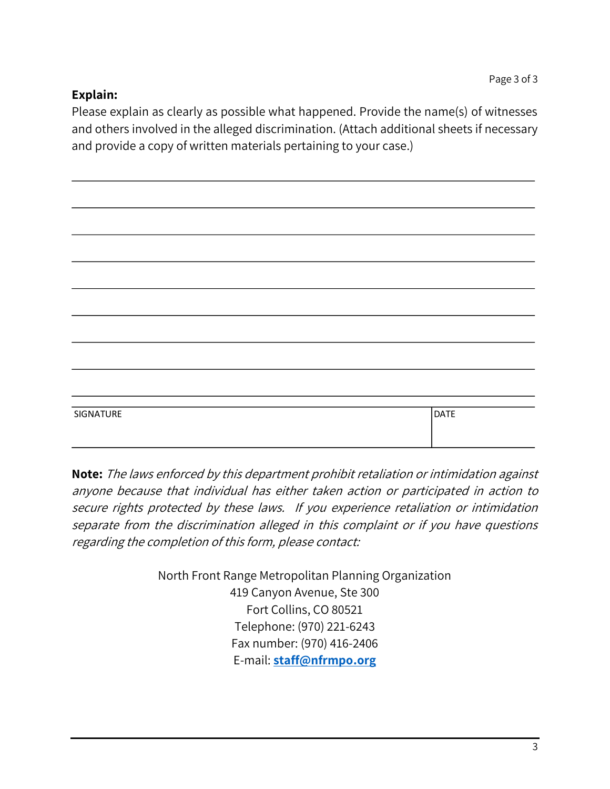# **Explain:**

Please explain as clearly as possible what happened. Provide the name(s) of witnesses and others involved in the alleged discrimination. (Attach additional sheets if necessary and provide a copy of written materials pertaining to your case.)

| SIGNATURE | <b>DATE</b> |
|-----------|-------------|
|           |             |

**Note:** The laws enforced by this department prohibit retaliation or intimidation against anyone because that individual has either taken action or participated in action to secure rights protected by these laws. If you experience retaliation or intimidation separate from the discrimination alleged in this complaint or if you have questions regarding the completion of this form, please contact:

> North Front Range Metropolitan Planning Organization 419 Canyon Avenue, Ste 300 Fort Collins, CO 80521 Telephone: (970) 221-6243 Fax number: (970) 416-2406 E-mail: **[staff@nfrmpo.org](mailto:staff@nfrmpo.org)**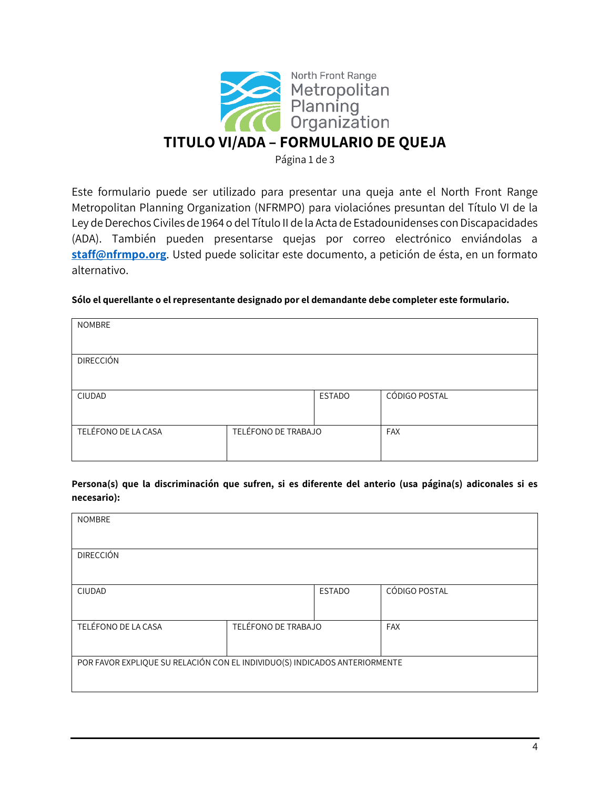

Página 1 de 3

Este formulario puede ser utilizado para presentar una queja ante el North Front Range Metropolitan Planning Organization (NFRMPO) para violaciónes presuntan del Título VI de la Ley de Derechos Civiles de 1964 o del Título II de la Acta de Estadounidenses con Discapacidades (ADA). También pueden presentarse quejas por correo electrónico enviándolas a **[staff@nfrmpo.org](mailto:staff@nfrmpo.org)**. Usted puede solicitar este documento, a petición de ésta, en un formato alternativo.

#### **Sólo el querellante o el representante designado por el demandante debe completer este formulario.**

| <b>NOMBRE</b>       |                     |               |               |
|---------------------|---------------------|---------------|---------------|
| <b>DIRECCIÓN</b>    |                     |               |               |
| CIUDAD              |                     | <b>ESTADO</b> | CÓDIGO POSTAL |
| TELÉFONO DE LA CASA | TELÉFONO DE TRABAJO |               | <b>FAX</b>    |

**Persona(s) que la discriminación que sufren, si es diferente del anterio (usa página(s) adiconales si es necesario):**

| <b>NOMBRE</b>                                                              |  |               |               |
|----------------------------------------------------------------------------|--|---------------|---------------|
| <b>DIRECCIÓN</b>                                                           |  |               |               |
| <b>CIUDAD</b>                                                              |  | <b>ESTADO</b> | CÓDIGO POSTAL |
| TELÉFONO DE TRABAJO<br>TELÉFONO DE LA CASA                                 |  |               | <b>FAX</b>    |
| POR FAVOR EXPLIQUE SU RELACIÓN CON EL INDIVIDUO(S) INDICADOS ANTERIORMENTE |  |               |               |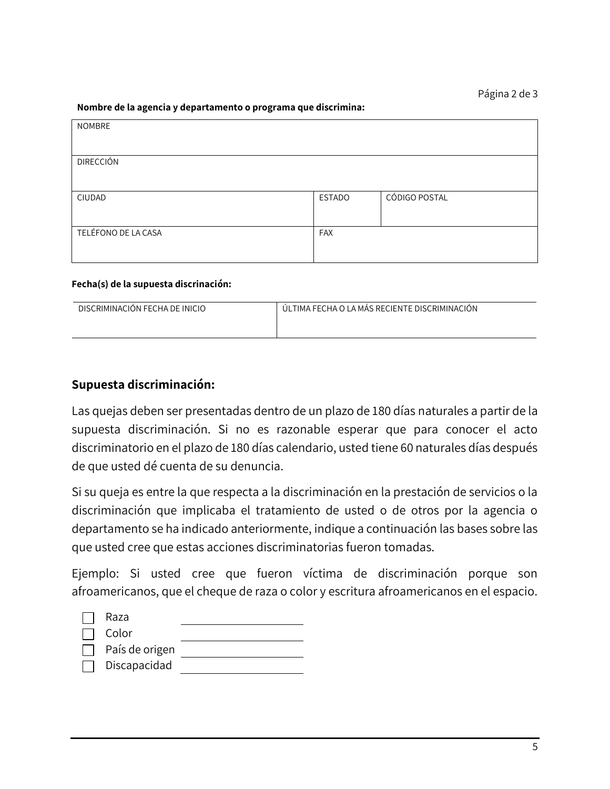#### **Nombre de la agencia y departamento o programa que discrimina:**

| <b>NOMBRE</b>       |               |               |
|---------------------|---------------|---------------|
| <b>DIRECCIÓN</b>    |               |               |
| CIUDAD              | <b>ESTADO</b> | CÓDIGO POSTAL |
| TELÉFONO DE LA CASA | FAX           |               |

### **Fecha(s) de la supuesta discrinación:**

| DISCRIMINACIÓN FECHA DE INICIO | ÚLTIMA FECHA O LA MÁS RECIENTE DISCRIMINACIÓN |
|--------------------------------|-----------------------------------------------|
|                                |                                               |
|                                |                                               |

# **Supuesta discriminación:**

Las quejas deben ser presentadas dentro de un plazo de 180 días naturales a partir de la supuesta discriminación. Si no es razonable esperar que para conocer el acto discriminatorio en el plazo de 180 días calendario, usted tiene 60 naturales días después de que usted dé cuenta de su denuncia.

Si su queja es entre la que respecta a la discriminación en la prestación de servicios o la discriminación que implicaba el tratamiento de usted o de otros por la agencia o departamento se ha indicado anteriormente, indique a continuación las bases sobre las que usted cree que estas acciones discriminatorias fueron tomadas.

Ejemplo: Si usted cree que fueron víctima de discriminación porque son afroamericanos, que el cheque de raza o color y escritura afroamericanos en el espacio.

| Raza           |  |
|----------------|--|
| Color          |  |
| País de origen |  |
| Discapacidad   |  |